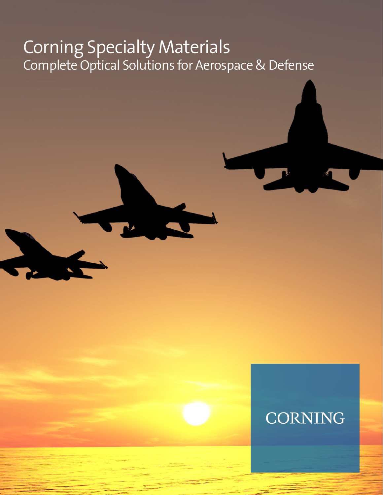# Corning Specialty Materials Complete Optical Solutions for Aerospace & Defense

# **CORNING**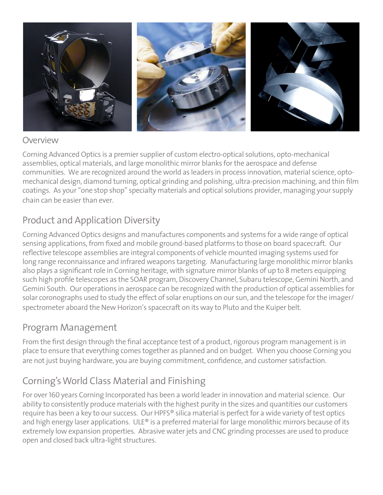

#### Overview

Corning Advanced Optics is a premier supplier of custom electro-optical solutions, opto-mechanical assemblies, optical materials, and large monolithic mirror blanks for the aerospace and defense communities. We are recognized around the world as leaders in process innovation, material science, optomechanical design, diamond turning, optical grinding and polishing, ultra-precision machining, and thin film coatings. As your "one stop shop" specialty materials and optical solutions provider, managing your supply chain can be easier than ever.

### Product and Application Diversity

Corning Advanced Optics designs and manufactures components and systems for a wide range of optical sensing applications, from fixed and mobile ground-based platforms to those on board spacecraft. Our reflective telescope assemblies are integral components of vehicle mounted imaging systems used for long range reconnaissance and infrared weapons targeting. Manufacturing large monolithic mirror blanks also plays a significant role in Corning heritage, with signature mirror blanks of up to 8 meters equipping such high profile telescopes as the SOAR program, Discovery Channel, Subaru telescope, Gemini North, and Gemini South. Our operations in aerospace can be recognized with the production of optical assemblies for solar coronographs used to study the effect of solar eruptions on our sun, and the telescope for the imager/ spectrometer aboard the New Horizon's spacecraft on its way to Pluto and the Kuiper belt.

#### Program Management

From the first design through the final acceptance test of a product, rigorous program management is in place to ensure that everything comes together as planned and on budget. When you choose Corning you are not just buying hardware, you are buying commitment, confidence, and customer satisfaction.

### Corning's World Class Material and Finishing

For over 160 years Corning Incorporated has been a world leader in innovation and material science. Our ability to consistently produce materials with the highest purity in the sizes and quantities our customers require has been a key to our success. Our HPFS® silica material is perfect for a wide variety of test optics and high energy laser applications. ULE® is a preferred material for large monolithic mirrors because of its extremely low expansion properties. Abrasive water jets and CNC grinding processes are used to produce open and closed back ultra-light structures.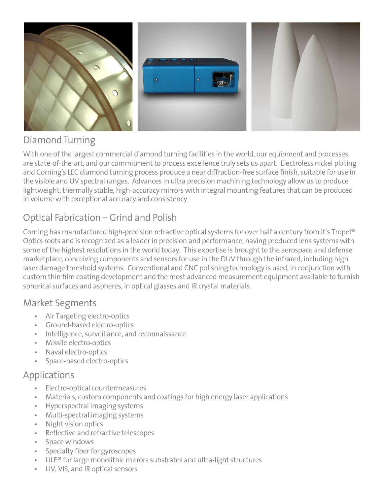

#### Diamond Turning

With one of the largest commercial diamond turning facilities in the world, our equipment and processes are state-of-the-art, and our commitment to process excellence truly sets us apart. Electroless nickel plating and Corning's LEC diamond turning process produce a near diffraction-free surface finish, suitable for use in the visible and UV spectral ranges. Advances in ultra precision machining technology allow us to produce lightweight, thermally stable, high-accuracy mirrors with integral mounting features that can be produced in volume with exceptional accuracy and consistency.

### Optical Fabrication – Grind and Polish

Corning has manufactured high-precision refractive optical systems for over half a century from it's Tropel® Optics roots and is recognized as a leader in precision and performance, having produced lens systems with some of the highest resolutions in the world today. This expertise is brought to the aerospace and defense marketplace, conceiving components and sensors for use in the DUV through the infrared, including high laser damage threshold systems. Conventional and CNC polishing technology is used, in conjunction with custom thin film coating development and the most advanced measurement equipment available to furnish spherical surfaces and aspheres, in optical glasses and IR crystal materials.

#### Market Segments

- Air Targeting electro-optics
- • Ground-based electro-optics
- • Intelligence, surveillance, and reconnaissance
- • Missile electro-optics
- • Naval electro-optics
- Space-based electro-optics

#### Applications

- Electro-optical countermeasures
- Materials, custom components and coatings for high energy laser applications
- **Hyperspectral imaging systems**
- Multi-spectral imaging systems
- **Night vision optics**
- Reflective and refractive telescopes
- Space windows
- • Specialty fiber for gyroscopes
- $ULE<sup>®</sup>$  for large monolithic mirrors substrates and ultra-light structures
- UV, VIS, and IR optical sensors